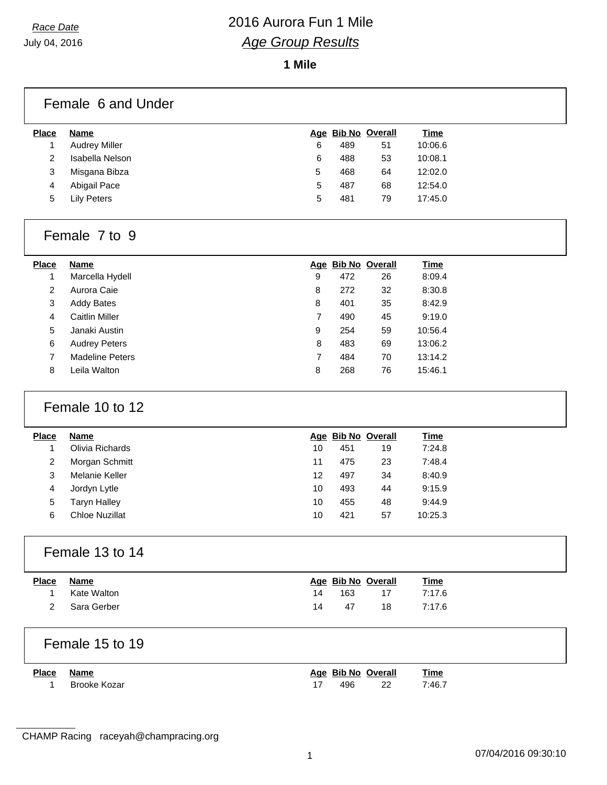# *Race Date* 2016 Aurora Fun 1 Mile *Age Group Results*

**1 Mile**

|                | Female 6 and Under     |                |     |                    |             |  |
|----------------|------------------------|----------------|-----|--------------------|-------------|--|
| <b>Place</b>   | <b>Name</b>            |                |     | Age Bib No Overall | <b>Time</b> |  |
| $\mathbf{1}$   | <b>Audrey Miller</b>   | 6              | 489 | 51                 | 10:06.6     |  |
| $\overline{c}$ | Isabella Nelson        | 6              | 488 | 53                 | 10:08.1     |  |
| 3              | Misgana Bibza          | 5              | 468 | 64                 | 12:02.0     |  |
| 4              | Abigail Pace           | 5              | 487 | 68                 | 12:54.0     |  |
| 5              | <b>Lily Peters</b>     | 5              | 481 | 79                 | 17:45.0     |  |
|                | Female 7 to 9          |                |     |                    |             |  |
| <b>Place</b>   | <b>Name</b>            |                |     | Age Bib No Overall | <b>Time</b> |  |
| $\mathbf{1}$   | Marcella Hydell        | 9              | 472 | 26                 | 8:09.4      |  |
| $\overline{c}$ | Aurora Caie            | 8              | 272 | 32                 | 8:30.8      |  |
| 3              | <b>Addy Bates</b>      | 8              | 401 | 35                 | 8:42.9      |  |
| 4              | <b>Caitlin Miller</b>  | 7              | 490 | 45                 | 9:19.0      |  |
| 5              | Janaki Austin          | 9              | 254 | 59                 | 10:56.4     |  |
| 6              | <b>Audrey Peters</b>   | 8              | 483 | 69                 | 13:06.2     |  |
| $\overline{7}$ | <b>Madeline Peters</b> | $\overline{7}$ | 484 | 70                 | 13:14.2     |  |
| 8              | Leila Walton           | 8              | 268 | 76                 | 15:46.1     |  |
|                | Female 10 to 12        |                |     |                    |             |  |
| <b>Place</b>   | <b>Name</b>            |                |     | Age Bib No Overall | <b>Time</b> |  |
| 1              | Olivia Richards        | 10             | 451 | 19                 | 7:24.8      |  |
| 2              | Morgan Schmitt         | 11             | 475 | 23                 | 7:48.4      |  |
| 3              | Melanie Keller         | 12             | 497 | 34                 | 8:40.9      |  |
| 4              | Jordyn Lytle           | 10             | 493 | 44                 | 9:15.9      |  |
| 5              | <b>Taryn Halley</b>    | 10             | 455 | 48                 | 9:44.9      |  |
| 6              | <b>Chloe Nuzillat</b>  | 10             | 421 | 57                 | 10:25.3     |  |
|                | Female 13 to 14        |                |     |                    |             |  |
| <b>Place</b>   | <b>Name</b>            |                |     | Age Bib No Overall | <b>Time</b> |  |
| 1              | Kate Walton            | 14             | 163 | 17                 | 7:17.6      |  |
| $\overline{2}$ | Sara Gerber            | 14             | 47  | 18                 | 7:17.6      |  |
|                | Female 15 to 19        |                |     |                    |             |  |
| <b>Place</b>   | <b>Name</b>            |                |     | Age Bib No Overall | <b>Time</b> |  |
| 1              | <b>Brooke Kozar</b>    | 17             | 496 | 22                 | 7:46.7      |  |

CHAMP Racing raceyah@champracing.org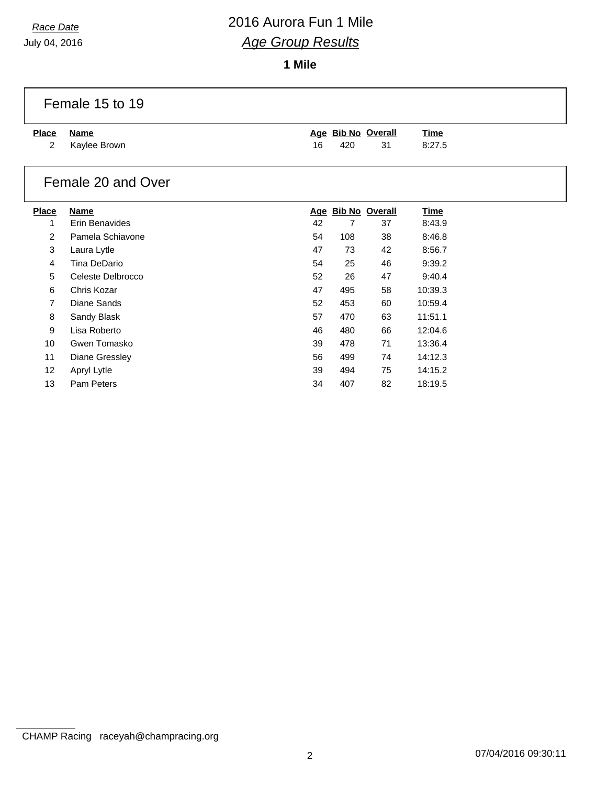July 04, 2016

 $\Gamma$ 

# *Race Date* 2016 Aurora Fun 1 Mile *Age Group Results*

**1 Mile**

|                | Female 15 to 19    |    |     |                    |             |  |
|----------------|--------------------|----|-----|--------------------|-------------|--|
| <b>Place</b>   | <b>Name</b>        |    |     | Age Bib No Overall | <u>Time</u> |  |
| $\overline{2}$ | Kaylee Brown       | 16 | 420 | 31                 | 8:27.5      |  |
|                | Female 20 and Over |    |     |                    |             |  |
| <b>Place</b>   | <b>Name</b>        |    |     | Age Bib No Overall | <b>Time</b> |  |
| 1              | Erin Benavides     | 42 | 7   | 37                 | 8:43.9      |  |
| 2              | Pamela Schiavone   | 54 | 108 | 38                 | 8:46.8      |  |
| 3              | Laura Lytle        | 47 | 73  | 42                 | 8:56.7      |  |
| 4              | Tina DeDario       | 54 | 25  | 46                 | 9:39.2      |  |
| 5              | Celeste Delbrocco  | 52 | 26  | 47                 | 9:40.4      |  |
| 6              | Chris Kozar        | 47 | 495 | 58                 | 10:39.3     |  |
| $\overline{7}$ | Diane Sands        | 52 | 453 | 60                 | 10:59.4     |  |
| 8              | Sandy Blask        | 57 | 470 | 63                 | 11:51.1     |  |
| 9              | Lisa Roberto       | 46 | 480 | 66                 | 12:04.6     |  |
| 10             | Gwen Tomasko       | 39 | 478 | 71                 | 13:36.4     |  |
| 11             | Diane Gressley     | 56 | 499 | 74                 | 14:12.3     |  |
| 12             | Apryl Lytle        | 39 | 494 | 75                 | 14:15.2     |  |
| 13             | Pam Peters         | 34 | 407 | 82                 | 18:19.5     |  |

CHAMP Racing raceyah@champracing.org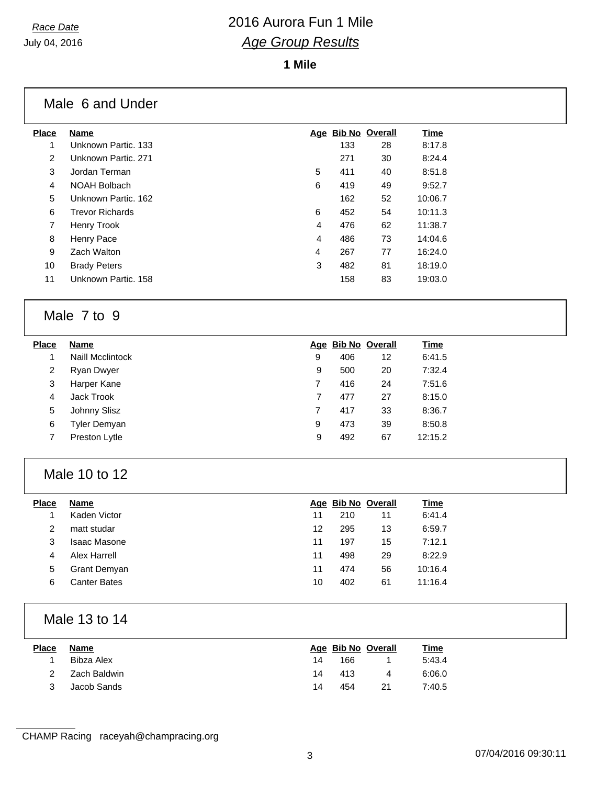# *Race Date* 2016 Aurora Fun 1 Mile *Age Group Results*

**1 Mile**

### Male 6 and Under

| Place | <b>Name</b>            |   |     | Age Bib No Overall | Time    |
|-------|------------------------|---|-----|--------------------|---------|
| 1     | Unknown Partic. 133    |   | 133 | 28                 | 8:17.8  |
| 2     | Unknown Partic, 271    |   | 271 | 30                 | 8:24.4  |
| 3     | Jordan Terman          | 5 | 411 | 40                 | 8:51.8  |
| 4     | NOAH Bolbach           | 6 | 419 | 49                 | 9:52.7  |
| 5     | Unknown Partic, 162    |   | 162 | 52                 | 10:06.7 |
| 6     | <b>Trevor Richards</b> | 6 | 452 | 54                 | 10:11.3 |
| 7     | Henry Trook            | 4 | 476 | 62                 | 11:38.7 |
| 8     | Henry Pace             | 4 | 486 | 73                 | 14:04.6 |
| 9     | Zach Walton            | 4 | 267 | 77                 | 16:24.0 |
| 10    | <b>Brady Peters</b>    | 3 | 482 | 81                 | 18:19.0 |
| 11    | Unknown Partic, 158    |   | 158 | 83                 | 19:03.0 |
|       |                        |   |     |                    |         |

### Male 7 to 9

| <b>Place</b> | Name                    |   |     | Age Bib No Overall | <u>Time</u> |
|--------------|-------------------------|---|-----|--------------------|-------------|
|              | <b>Naill Mcclintock</b> | 9 | 406 | 12                 | 6:41.5      |
| 2            | Ryan Dwyer              | 9 | 500 | 20                 | 7:32.4      |
| 3            | Harper Kane             | 7 | 416 | 24                 | 7:51.6      |
| 4            | Jack Trook              | 7 | 477 | 27                 | 8:15.0      |
| 5            | Johnny Slisz            | 7 | 417 | 33                 | 8:36.7      |
| 6            | Tyler Demyan            | 9 | 473 | 39                 | 8:50.8      |
|              | Preston Lytle           | 9 | 492 | 67                 | 12:15.2     |

### Male 10 to 12

| <b>Place</b> | <b>Name</b>         |    |     | Age Bib No Overall | <b>Time</b> |
|--------------|---------------------|----|-----|--------------------|-------------|
|              | Kaden Victor        | 11 | 210 | 11                 | 6:41.4      |
| 2            | matt studar         | 12 | 295 | 13                 | 6:59.7      |
| 3            | <b>Isaac Masone</b> | 11 | 197 | 15                 | 7:12.1      |
| 4            | Alex Harrell        | 11 | 498 | 29                 | 8:22.9      |
| 5            | <b>Grant Demyan</b> | 11 | 474 | 56                 | 10:16.4     |
| 6            | Canter Bates        | 10 | 402 | 61                 | 11:16.4     |

## Male 13 to 14

| <b>Place</b>  | Name         |    |     | Age Bib No Overall | <u>Time</u> |
|---------------|--------------|----|-----|--------------------|-------------|
|               | Bibza Alex   | 14 | 166 |                    | 5:43.4      |
| $\mathcal{P}$ | Zach Baldwin | 14 | 413 | 4                  | 6:06.0      |
|               | Jacob Sands  | 14 | 454 | 21                 | 7:40.5      |

CHAMP Racing raceyah@champracing.org